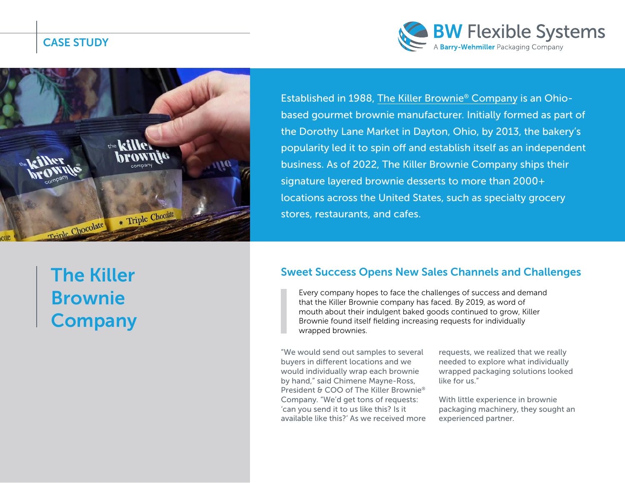CASE STUDY





The Killer Brownie **Company** 

Established in 1988, The Killer Brownie® Company is an Ohiobased gourmet brownie manufacturer. Initially formed as part of the Dorothy Lane Market in Dayton, Ohio, by 2013, the bakery's popularity led it to spin off and establish itself as an independent business. As of 2022, The Killer Brownie Company ships their signature layered brownie desserts to more than 2000+ locations across the United States, such as specialty grocery stores, restaurants, and cafes.

#### Sweet Success Opens New Sales Channels and Challenges

Every company hopes to face the challenges of success and demand that the Killer Brownie company has faced. By 2019, as word of mouth about their indulgent baked goods continued to grow, Killer Brownie found itself fielding increasing requests for individually wrapped brownies.

"We would send out samples to several buyers in different locations and we would individually wrap each brownie by hand," said Chimene Mayne-Ross, President & COO of The Killer Brownie® Company. "We'd get tons of requests: 'can you send it to us like this? Is it available like this?' As we received more requests, we realized that we really needed to explore what individually wrapped packaging solutions looked like for us."

With little experience in brownie packaging machinery, they sought an experienced partner.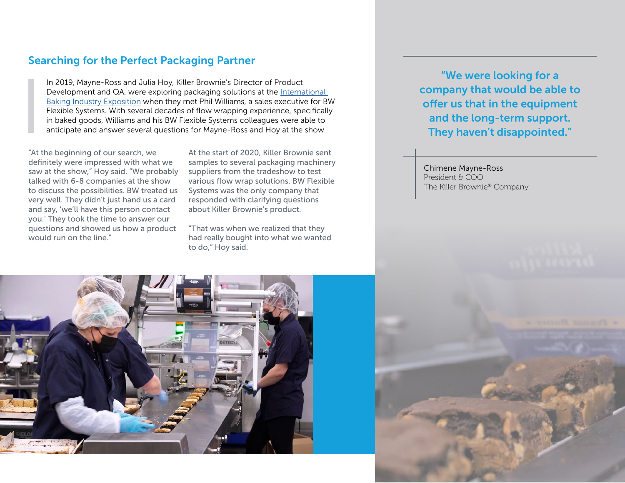#### Searching for the Perfect Packaging Partner

In 2019, Mayne-Ross and Julia Hoy, Killer Brownie's Director of Product Development and QA, were exploring packaging solutions at the [International](https://www.bakingexpo.com)  [Baking Industry Exposition](https://www.bakingexpo.com) when they met Phil Williams, a sales executive for BW Flexible Systems. With several decades of flow wrapping experience, specifically in baked goods, Williams and his BW Flexible Systems colleagues were able to anticipate and answer several questions for Mayne-Ross and Hoy at the show.

"At the beginning of our search, we definitely were impressed with what we saw at the show," Hoy said. "We probably talked with 6-8 companies at the show to discuss the possibilities. BW treated us very well. They didn't just hand us a card and say, 'we'll have this person contact you.' They took the time to answer our questions and showed us how a product would run on the line."

At the start of 2020, Killer Brownie sent samples to several packaging machinery suppliers from the tradeshow to test various flow wrap solutions. BW Flexible Systems was the only company that responded with clarifying questions about Killer Brownie's product.

"That was when we realized that they had really bought into what we wanted to do," Hoy said.

"We were looking for a company that would be able to offer us that in the equipment and the long-term support. They haven't disappointed."

Chimene Mayne-Ross President & COO The Killer Brownie® Company



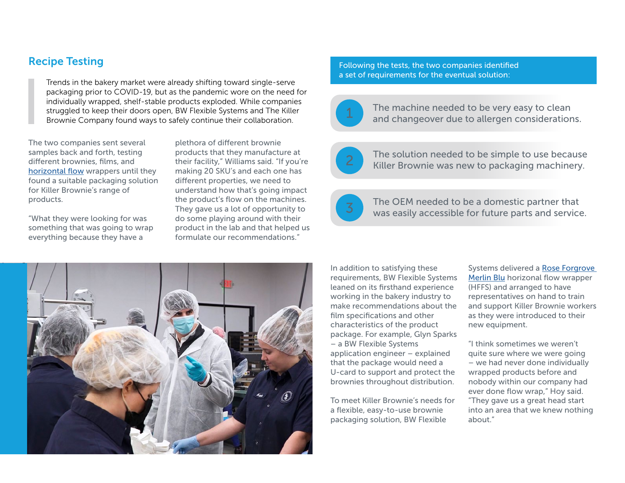## Recipe Testing

Trends in the bakery market were already shifting toward single-serve packaging prior to COVID-19, but as the pandemic wore on the need for individually wrapped, shelf-stable products exploded. While companies struggled to keep their doors open, BW Flexible Systems and The Killer Brownie Company found ways to safely continue their collaboration.

The two companies sent several samples back and forth, testing different brownies, films, and [horizontal flow](https://www.bwflexiblesystems.com/machine-type/horizontal-flow-wrappers?utm_source=case+study&utm_medium=pdf&utm_campaign=Killer+Brownie+case+study&utm_content=HFFS+link) wrappers until they found a suitable packaging solution for Killer Brownie's range of products.

"What they were looking for was something that was going to wrap everything because they have a

plethora of different brownie products that they manufacture at their facility," Williams said. "If you're making 20 SKU's and each one has different properties, we need to understand how that's going impact the product's flow on the machines. They gave us a lot of opportunity to do some playing around with their product in the lab and that helped us formulate our recommendations."

Following the tests, the two companies identified a set of requirements for the eventual solution:



The machine needed to be very easy to clean and changeover due to allergen considerations.



The solution needed to be simple to use because<br>Killer Brownie was new to packaging machinery.



The OEM needed to be a domestic partner that was easily accessible for future parts and service.



In addition to satisfying these requirements, BW Flexible Systems leaned on its firsthand experience working in the bakery industry to make recommendations about the film specifications and other characteristics of the product package. For example, Glyn Sparks – a BW Flexible Systems application engineer – explained that the package would need a U-card to support and protect the brownies throughout distribution.

To meet Killer Brownie's needs for a flexible, easy-to-use brownie packaging solution, BW Flexible

Systems delivered a [Rose Forgrove](https://www.bwflexiblesystems.com/machine/horizontal-flow-wrappers/rose-forgrove-merlin?utm_source=case+study&utm_medium=pdf&utm_campaign=Killer+Brownie+case+study&utm_content=RF+Merlin+Blu+text+link)  [Merlin Blu](https://www.bwflexiblesystems.com/machine/horizontal-flow-wrappers/rose-forgrove-merlin?utm_source=case+study&utm_medium=pdf&utm_campaign=Killer+Brownie+case+study&utm_content=RF+Merlin+Blu+text+link) horizonal flow wrapper (HFFS) and arranged to have representatives on hand to train and support Killer Brownie workers as they were introduced to their new equipment.

"I think sometimes we weren't quite sure where we were going – we had never done individually wrapped products before and nobody within our company had ever done flow wrap," Hoy said. "They gave us a great head start into an area that we knew nothing about."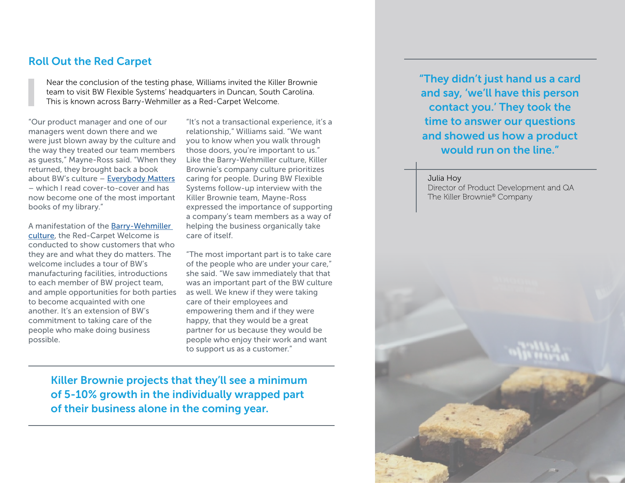#### Roll Out the Red Carpet

Near the conclusion of the testing phase, Williams invited the Killer Brownie team to visit BW Flexible Systems' headquarters in Duncan, South Carolina. This is known across Barry-Wehmiller as a Red-Carpet Welcome.

"Our product manager and one of our managers went down there and we were just blown away by the culture and the way they treated our team members as guests," Mayne-Ross said. "When they returned, they brought back a book about BW's culture – [Everybody Matters](https://www.barrywehmiller.com/outreach/book?utm_source=case+study&utm_medium=pdf&utm_campaign=Killer+Brownie+case+study&utm_content=Everybody+Matters+text+link) – which I read cover-to-cover and has now become one of the most important books of my library."

A manifestation of the [Barry-Wehmiller](https://www.barrywehmiller.com/story?utm_source=case+study&utm_medium=pdf&utm_campaign=Killer+Brownie+case+study&utm_content=BW+Culture+text+link)  [culture,](https://www.barrywehmiller.com/story?utm_source=case+study&utm_medium=pdf&utm_campaign=Killer+Brownie+case+study&utm_content=BW+Culture+text+link) the Red-Carpet Welcome is conducted to show customers that who they are and what they do matters. The welcome includes a tour of BW's manufacturing facilities, introductions to each member of BW project team, and ample opportunities for both parties to become acquainted with one another. It's an extension of BW's commitment to taking care of the people who make doing business possible.

"It's not a transactional experience, it's a relationship," Williams said. "We want you to know when you walk through those doors, you're important to us." Like the Barry-Wehmiller culture, Killer Brownie's company culture prioritizes caring for people. During BW Flexible Systems follow-up interview with the Killer Brownie team, Mayne-Ross expressed the importance of supporting a company's team members as a way of helping the business organically take care of itself.

"The most important part is to take care of the people who are under your care," she said. "We saw immediately that that was an important part of the BW culture as well. We knew if they were taking care of their employees and empowering them and if they were happy, that they would be a great partner for us because they would be people who enjoy their work and want to support us as a customer."

Killer Brownie projects that they'll see a minimum of 5-10% growth in the individually wrapped part of their business alone in the coming year.

"They didn't just hand us a card and say, 'we'll have this person contact you.' They took the time to answer our questions and showed us how a product would run on the line."

Julia Hoy Director of Product Development and QA The Killer Brownie® Company

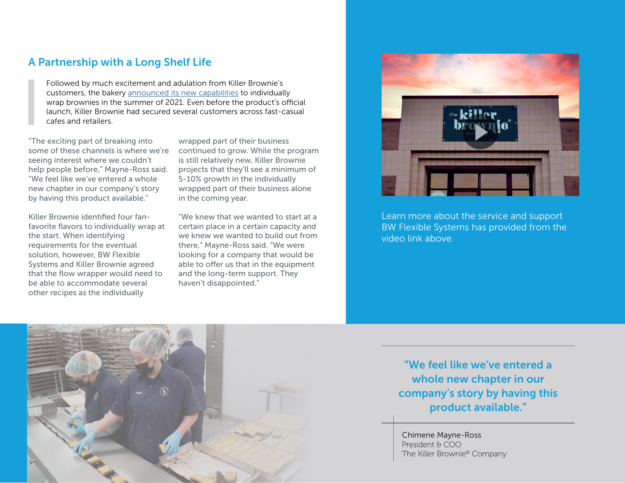### A Partnership with a Long Shelf Life

Followed by much excitement and adulation from Killer Brownie's customers, the bakery [announced its new capabilities](https://www.linkedin.com/posts/killerbrownie_first-run-of-individually-wrapped-triple-activity-6818910024195215360-gxvI/) to individually wrap brownies in the summer of 2021. Even before the product's official launch, Killer Brownie had secured several customers across fast-casual cafes and retailers.

"The exciting part of breaking into some of these channels is where we're seeing interest where we couldn't help people before," Mayne-Ross said. "We feel like we've entered a whole new chapter in our company's story by having this product available."

Killer Brownie identified four fanfavorite flavors to individually wrap at the start. When identifying requirements for the eventual solution, however, BW Flexible Systems and Killer Brownie agreed that the flow wrapper would need to be able to accommodate several other recipes as the individually

wrapped part of their business continued to grow. While the program is still relatively new, Killer Brownie projects that they'll see a minimum of 5-10% growth in the individually wrapped part of their business alone in the coming year.

"We knew that we wanted to start at a certain place in a certain capacity and we knew we wanted to build out from there," Mayne-Ross said. "We were looking for a company that would be able to offer us that in the equipment and the long-term support. They haven't disappointed."



Learn more about the service and support BW Flexible Systems has provided from the video link above.



"We feel like we've entered a whole new chapter in our company's story by having this product available."

Chimene Mayne-Ross President & COO The Killer Brownie® Company